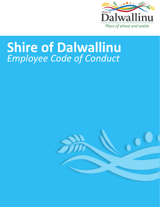

# **Shire of Dalwallinu** *Employee Code of Conduct*

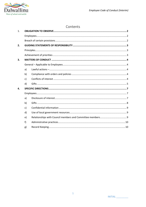

# Contents

| 1. |              |  |  |  |  |  |
|----|--------------|--|--|--|--|--|
|    |              |  |  |  |  |  |
|    |              |  |  |  |  |  |
| 2. |              |  |  |  |  |  |
|    |              |  |  |  |  |  |
|    |              |  |  |  |  |  |
| 3. |              |  |  |  |  |  |
|    |              |  |  |  |  |  |
|    | a)           |  |  |  |  |  |
|    | b)           |  |  |  |  |  |
|    | c)           |  |  |  |  |  |
|    | d)           |  |  |  |  |  |
| 4. |              |  |  |  |  |  |
|    |              |  |  |  |  |  |
|    | a)           |  |  |  |  |  |
|    | b)           |  |  |  |  |  |
|    | $\mathsf{c}$ |  |  |  |  |  |
|    | d)           |  |  |  |  |  |
|    | e)           |  |  |  |  |  |
|    | f)           |  |  |  |  |  |
|    | g)           |  |  |  |  |  |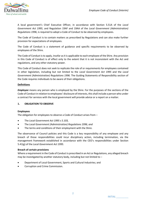

A local government's Chief Executive Officer, in accordance with Section 5.51A of the *Local Government Act 1995*, and Regulation 19AF and 19AA of the *Local Government (Administration) Regulations 1996*, is required to adopt a Code of Conduct to be observed by employees.

The Code of Conduct is to contain matters as prescribed by Regulations and can also make further provision for expectations of employees.

The Code of Conduct is a statement of guidance and specific requirements to be observed by employees of the Shire.

The Code of Conduct is to apply, insofar as it is applicable to each employee of the Shire. Any provision in this Code of Conduct is of effect only to the extent that it is not inconsistent with the Act and regulations, and any other statutory power.

This Code of Conduct does not seek to replicate the role of or requirements for employees contained in other legislation, including but not limited to the *Local Government Act 1995* and the *Local Government (Administration) Regulations 1996.* The Guiding Statements of Responsibility section of the Code requires individuals to be aware of their obligations.

# **Definitions**

*Employee* means any person who is employed by the Shire. For the purposes of the sections of the Code of Conduct in relation to employees' disclosure of interests, this shall include a person who under a contract for services with the local government will provide advice or a report on a matter.

# <span id="page-3-0"></span>**1. OBLIGATION TO OBSERVE**

# <span id="page-3-1"></span>**Employees**

The obligation for employees to observe a Code of Conduct arises from –

- The *Local Government Act 1995 s 5.103,*
- The *Local Government (Administration) Regulations 1996, and*
- The terms and conditions of their employment with the Shire.

The observance of Council policies and this Code is a key responsibility of any employee and any breach of those responsibilities could incur disciplinary action, including termination, via the management framework established in accordance with the CEO's responsibilities under Section 5.41(g) of the *Local Government Act 1995.*

# <span id="page-3-2"></span>**Breach of certain provisions**

Where a requirement in the Code of Conduct is prescribed in an Act or Regulations, any alleged breach may be investigated by another statutory body, including but not limited to –

- Department of Local Government, Sports and Cultural Industries; and
- Corruption and Crime Commission.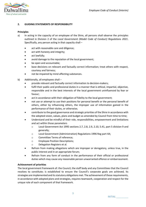

# <span id="page-4-0"></span>**2. GUIDING STATEMENTS OF RESPONSIBILITY**

#### <span id="page-4-1"></span>**Principles**

- a) In acting in the capacity of an employee of the Shire, all persons shall observe the principles outlined in Division 2 of the *Local Government (Model Code of Conduct) Regulations 2021*. Specifically, any person acting in that capacity shall –
	- act with reasonable care and diligence;
	- act with honesty and integrity;
	- act lawfully;
	- avoid damage to the reputation of the local government;
	- be open and accountable;
	- base decisions on relevant and factually correct information; treat others with respect, courtesy and fairness;
	- not be impaired by mind affecting substances.
- b) Additionally, all employees shall
	- provide relevant and factually correct information to decision-makers;
	- fulfil their public and professional duties in a manner that is ethical, impartial, objective, responsible and in the best interests of the local government uninfluenced by fear or favour;
	- act in accordance with their obligation of fidelity to the local government;
	- not use or attempt to use their positions for personal benefit or the personal benefit of others, either by influencing others, the improper use of information gained in the performance of their duties, or otherwise;
	- contribute to the good governance and strategic priorities of the Shire in accordance with the adopted vision, values, plans and budget as amended by Council from time to time;
	- Understand and be mindful of their role, responsibilities, empowerment and limitations and act within those parameters
		- $\circ$  Local Government Act 1995 sections 2.7, 2.8, 2.9, 2.10, 5.41, part 5 division 9 and generally;
		- o Local Government (Administration) Regulations 1996 Reg part 4A;
		- o Committee Terms of reference;
		- o Employee Position Descriptions;
		- o Delegation Registers et al.
	- Refrain from making allegations which are improper or derogatory, unless true, in the public interest and in an appropriate forum;
	- Refrain from any form of conduct in the performance of their official or professional duties which may cause any reasonable person unwarranted offence or embarrassment.

# <span id="page-4-2"></span>**Achievement of priorities**

The local government framework of: the Council, the staff body and any Committees that the Council resolves to constitute; is established to ensure the Council's corporate goals are achieved, its strategies are implemented and its statutory obligations met. The achievement of these requirements, in accordance with adopted plans and strategies, requires teamwork, cooperation and respect for the unique role of each component of that framework.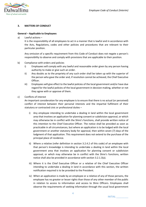

#### <span id="page-5-0"></span>**3. MATTERS OF CONDUCT**

#### <span id="page-5-1"></span>**General – Applicable to Employees**

<span id="page-5-2"></span>a) Lawful actions –

It is the responsibility of all employees to act in a manner that is lawful and in accordance with the Acts, Regulations, codes and other policies and procedures that are relevant to their particular position.

Any omission of a specific requirement from this Code of Conduct does not negate a person's responsibility to observe and comply with provisions that are applicable to their position.

- <span id="page-5-3"></span>b) Compliance with orders and policies
	- i) Employees will comply with any lawful and reasonable order given by any person having authority to make or give such an order.
	- ii) Any doubts as to the propriety of any such order shall be taken up with the superior of the person who gave the order and, if resolution cannot be achieved, the Chief Executive Officer.
	- iii) Employees will give effect to the lawful policies of the local government and/or have due regard for the lawful policies of the local government in decision making, whether or not they agree with or approve of them.
- <span id="page-5-4"></span>c) Conflicts of interest

An important consideration for any employee is to ensure that there is no actual (or perceived) conflict of interest between their personal interests and the impartial fulfilment of their statutory or contracted civic or professional duties –

- i) Any employee intending to undertake a dealing in land within the local government area that involves an application for planning consent or subdivision approval, or which may otherwise be in conflict with the Shire's functions, shall provide written notice of this intention to the Chief Executive Officer. The notice shall be provided as soon as practicable in all circumstances, but where an application is to be lodged with the local government or another statutory body for approval, then within seven (7) days of the lodgment of that application. This requirement does not extend to the purchase of the principal place of residence.
- ii) Where a relative (refer definition in section 3.2.4.2 of this code) of an employee with that person's knowledge is intending to undertake a dealing in land within the local government area that involves an application for planning consent or subdivision approval, or which may otherwise be in conflict with the Shire's functions, written notice shall also be provided in accordance with section 3.2.1.3(a).
- iii) Where it is the Chief Executive Officer or a relative of the Chief Executive Officer intending to undertake a dealing in land in accordance with this section, the written notification required is to be provided to the President.
- iv) When an application is made by an employee or a relative of any of those persons, the employee has no greater or lesser rights than those of any other member of the public in relation to access to information and access to Shire Officers. Employees shall observe the requirements of seeking information through the usual local government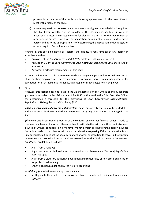

process for a member of the public and booking appointments in their own time to meet with officers of the Shire.

v) In receiving a written notice on a matter where a local government decision is required, the Chief Executive Officer or the President as the case may be, shall consult with the most senior officer having responsibility for planning matters as to the requirement or otherwise of an assessment of the application by a suitable qualified independent person and as to the appropriateness of determining the application under delegation or referring it to Council for a decision.

Nothing in this section negates or replaces the disclosure requirements of any person in accordance with –

- Division 6 of the *Local Government Act 1995* Disclosure of Financial Interests;
- Regulation 11 of the *Local Government (Administration) Regulations 1996* Disclosure of Interest or
- Any other disclosure requirements of this code.

It is not the intention of this requirement to disadvantage any person due to their election to office or their employment. The requirement is to ensure there is minimum potential for perceptions of or actual undue influence, advantage or disadvantage for an employee.

<span id="page-6-0"></span>d) Gifts

Notewell: this section does not relate to the Chief Executive officer, who is bound by separate gift provisions under the *Local Government Act 1995*. In this section the Chief Executive Officer has determined a threshold for the provisions of *Local Government (Administration) Regulations 1996* regulation 19AF as being \$300.

*activity involving a local government discretion* means any activity that cannot be undertaken without an authorization from the local government or by way of a commercial dealing with the Shire.

*gift* means any disposition of property, or the conferral of any other financial benefit, made by one person in favour of another otherwise than by will (whether with or without an instrument in writing), without consideration in money or money's worth passing from the person in whose favour it is made to the other, or with such consideration so passing if the consideration is not fully adequate, but does not include any financial or other contribution to travel (in that specific requirements for contributions to travel are covered in Section 5.83 of the *Local Government Act 1995*). This definition excludes -

- A gift from a relative;
- A gift that must be disclosed in accordance with *Local Government (Elections) Regulations 1997* reg 30B;
- A gift from a statutory authority, government instrumentality or non-profit organisation for professional training;
- Other exclusions as defined by the Act or Regulations.

*notifiable gift* in relation to an employee means –

a gift given to the employee that is worth between the relevant minimum threshold and \$300, or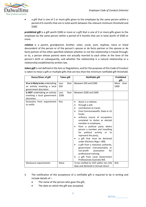

a gift that is one of 2 or more gifts given to the employee by the same person within a period of 6 months that are in total worth between the relevant minimum threshold and \$300.

*prohibited gift* is a gift worth \$300 or more or a gift that is one of 2 or more gifts given to the employee by the same person within a period of 6 months that are in total worth of \$300 or more.

*relative* is a parent, grandparent, brother, sister, uncle, aunt, nephew, niece or lineal descendent of the person or of the person's spouse or de facto partner or the spouse or de facto partner of the other specified relatives whether or not the relationship is traced through, or to, a person whose parents were not actually married to each other at the time of the person's birth or subsequently, and whether the relationship is a natural relationship or a relationship established by written law.

*token gift* is not defined in the Acts or Regulations, and for the purposes of this Code of Conduct is taken to mean a gift or multiple gifts that are less than the minimum notifiable gift threshold.

| Donor/Giver of gift                                                                         | <b>Token gift</b> |      | Notifiable gift                                                                                                                                                                                                                                                                                                                                                                                                                                                                                                                                                                                                                                                  | <b>Prohibited</b><br>gift |  |
|---------------------------------------------------------------------------------------------|-------------------|------|------------------------------------------------------------------------------------------------------------------------------------------------------------------------------------------------------------------------------------------------------------------------------------------------------------------------------------------------------------------------------------------------------------------------------------------------------------------------------------------------------------------------------------------------------------------------------------------------------------------------------------------------------------------|---------------------------|--|
| IS or is likely to be undertaking<br>an activity involving a local<br>government discretion | Less<br>\$50      | than | Between \$50 and \$300                                                                                                                                                                                                                                                                                                                                                                                                                                                                                                                                                                                                                                           | More than<br>\$300        |  |
| Is NOT undertaking an activity<br>involving a local government<br>discretion                | Less<br>\$200     | than | Between \$200 and \$300                                                                                                                                                                                                                                                                                                                                                                                                                                                                                                                                                                                                                                          |                           |  |
| Exclusions from requirement<br>to notify                                                    | N/a               |      | donor is a relative;<br>$\bullet$<br>through a will;<br>$\bullet$<br>contribution to travel;<br>$\bullet$<br>from Commonwealth, State or LG<br>funds;<br>ordinary course of occupation<br>٠<br>unrelated to duties as elected<br>member or employee;<br>from a political party where<br>person a member and travelling<br>for<br>political activity<br>or<br>to<br>represent the party;<br>a gift that must be disclosed<br>٠<br>under Elections Regs r.30B;<br>a gift from a statutory authority,<br>government instrumentality or<br>non-profit<br>association<br>for<br>professional training;<br>a gift from Local Government<br>Professionals Australia WA. |                           |  |
| Disclosure requirements                                                                     | None              |      | To be notified to CEO within ten (10)<br>days and declared in Annual return                                                                                                                                                                                                                                                                                                                                                                                                                                                                                                                                                                                      | N/A                       |  |

- i) The notification of the acceptance of a notifiable gift is required to be in writing and include details of –
	- The name of the person who gave the gift;
	- The date on which the gift was accepted;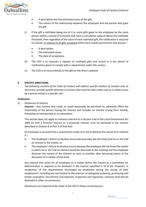

- A description and the estimated value of the gift;
- The nature of the relationship between the employee and the person who gave the gift.
- ii) If the gift is notifiable being one of 2 or more gifts given to the employee by the same person within a period of 6 months that have a cumulative value of above the notifiable threshold, then regardless of the value of each individual gift, the notification is required to include, in relation to all gifts accepted within the 6 month period from that person –
	- A description;
	- The estimated value;
	- The date of acceptance.
- iii) The CEO is to maintain a register of notifiable gifts and record in it the details of notifications given to comply with a requirement under this section.
- iv) The CEO is to record details of the gift on the Shire's website.

# <span id="page-8-0"></span>**4. SPECIFIC DIRECTIONS**

*The following sections of the Code of Conduct will address specific matters of conduct and, as necessary, provide specific direction on actions that must be taken when and as a matter arises by a person acting in a specific role.*

#### <span id="page-8-1"></span>**Employees**

<span id="page-8-2"></span>a) Disclosure of interest

**Interest** – Any interest that could, or could reasonably be perceived to, adversely affect the impartiality of the person having the interest and includes an interest arising from kinship, friendship or membership or an association.

This section does not apply to interests referred to in Section 5.60 of the *Local Government Act 1995* (in that a financial interest or a proximity interest must be disclosed in the manner described in Division 6 of Part 5 of that Act).

An employee is excused from a requirement under (i) or (ii) to disclose the nature of an interest  $if -$ 

- The employee's failure to disclose occurs because they did not know that he or she had an interest in the matter; or
- The employee's failure to disclose occurs because the employee did not know the matter in which he or she had an interest would be discussed at the meeting and the employee discloses the nature of the interest as soon as possible after becoming aware of the discussion of a matter of that kind.

Any interest that arises for an employee on a matter before the Council or a Committee for determination is required to be disclosed in the manner specified in (i) or (ii). However, in recognition of the requirements discharged by employees during the course of their employment, including but not limited to the exercise of delegated authority, purchasing and tender evaluation, recruitment and selection, inspection and regulation, interests shall also be disclosed in other circumstances.

Disclosures are required to be made to the CEO in these circumstances –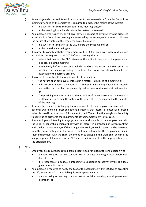

- i) An employee who has an interest in any matter to be discussed at a Council or Committee meeting attended by the employee is required to disclose the nature of the interest –
	- in a written notice to the CEO before the meeting; and/or
	- at the meeting immediately before the matter is discussed.
- ii) An employee who has given, or will give, advice in respect of any matter to be discussed at a Council or Committee meeting not attended by the employee is required to disclose the nature of any interest the employee has in the matter –
	- in a written notice given to the CEO before the meeting; and/or
	- at the time the advice is given.
- iii) If in order to comply with the requirements of (i) or (ii) an employee makes a disclosure in a written notice given to the CEO before a meeting, then –
	- before that meeting the CEO is to cause the notice to be given to the person who is to preside at the meeting;
	- immediately before a matter to which the disclosure relates is discussed at the meeting, the person presiding is to bring the notice and its contents to the attention of the persons present.
- iv) If in order to comply with the requirements of the section  $-$ 
	- the nature of an employee's interest in a matter is disclosed at a meeting; or
	- a disclosure is made at a meeting if it is realised than an employee has an interest in a matter that they had not previously realised was for discussion at that meeting; or
	- The presiding member brings to the attention of those present at the meeting a written disclosure; then the nature of the interest is to be recorded in the minutes of the meeting.
- v) If during the course of discharging the requirements of their employment, an employee becomes aware of an interest or a potential interest, that interest or potential interest is to be disclosed in a prompt and full manner to the CEO and direction sought on the ability to continue to discharge the requirements of their employment in this case.
- vi) If an employee is intending to engage in private work outside of their employment with the Shire, either with a person or body with an interest in a proposed or current contract with the local government, or if the arrangement could, or could reasonably be perceived to, either immediately or in the future, result in an interest for the employee arising in their employment with the Shire, the intention to engage in this work shall be disclosed in a prompt and full manner to the CEO and direction sought on the appropriateness of the arrangement.
- <span id="page-9-0"></span>b) Gifts
	- i) Employees are required to refrain from accepting a prohibited gift from a person who
		- is undertaking or seeking to undertake an activity involving a local government discretion; or
		- it is reasonable to believe is intending to undertake an activity involving a local government discretion.
	- ii) An employee is required to notify the CEO of the acceptance within 10 days of accepting the gift, when the gift is a notifiable gift from a person who  $$ 
		- is undertaking or seeking to undertake an activity involving a local government discretion; or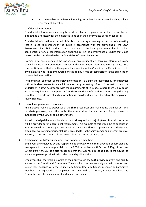

it is reasonable to believe is intending to undertake an activity involving a local government discretion.

### <span id="page-10-0"></span>c) Confidential information

Confidential information must only be disclosed by an employee to another person to the extent that is necessary for the employee to do so in the performance of his or her duties.

Confidential information is that which is discussed during a meeting or that part of a meeting that is closed to members of the public in accordance with the provisions of the *Local Government Act 1995*, or that is in a document of the local government that is marked confidential, or any other information obtained during the performance of duties that could reasonably be considered to be confidential or of a sensitive nature.

Nothing in this section enables the disclosure of any confidential or sensitive information to any Council member or Committee member if the information does not directly relate to a confidential matter that is on the agenda for a meeting of the Council or the Committee, nor to any employee who is not empowered or required by virtue of their position in the organisation to have that information.

The handling of confidential or sensitive information is a significant responsibility for employees with authorised access to such information. Any imparting of such information must be undertaken in strict accordance with the requirements of this code. Where there is any doubt as to the requirements to impart confidential or sensitive information, caution is urged as any unauthorised disclosure of such information is considered a serious breach of the employee's responsibilities.

#### <span id="page-10-1"></span>d) Use of local government resources

An employee shall make proper use of the Shire's resources and shall not use them for personal or private purposes, unless the use is otherwise provided for in a contract of employment, or authorized by the CEO by some other means.

It is acknowledged that minor incidental (not primary and not majority) use of certain resources will be provided for in operational requirements. An example of this would be to conduct an internet search or check a personal email account on a Shire computer during a designated break. This type of minor incidental use is provided for in the Shire's email and internet practice, whereby it is stated these facilities are for almost exclusive business use.

#### <span id="page-10-2"></span>e) Relationships with Council members and Committee members

Employees are employed by and responsible to the CEO. While their direction, supervision and management is the sole responsibility of the CEO in accordance with Section 5.41(g) of the *Local Government Act 1995*, it is also recognised that the CEO has a responsibility to the Council to ensure employees provide it with relevant and quality advice.

Employees shall therefore be aware of their duty to, via the CEO, provide relevant and quality advice to the Council and Committee. They shall also act courteously and with due respect during their dealings with the Council, any Committee, any Council member or Committee member. It is expected that employees will deal with each other, Council members and Committee members in an honest and respectful manner.